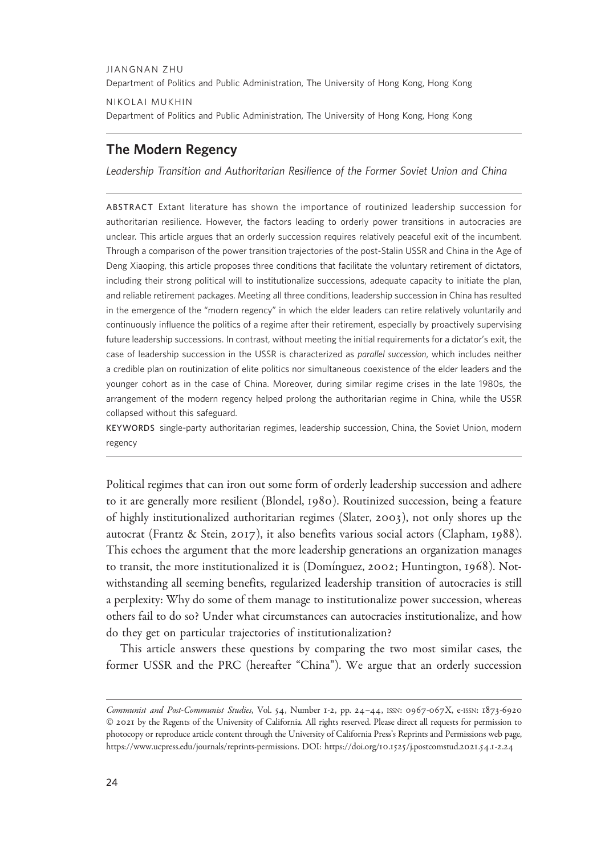JIANGNAN ZHU Department of Politics and Public Administration, The University of Hong Kong, Hong Kong NIKOLAI MUKHIN

Department of Politics and Public Administration, The University of Hong Kong, Hong Kong

# The Modern Regency

Leadership Transition and Authoritarian Resilience of the Former Soviet Union and China

ABSTRACT Extant literature has shown the importance of routinized leadership succession for authoritarian resilience. However, the factors leading to orderly power transitions in autocracies are unclear. This article argues that an orderly succession requires relatively peaceful exit of the incumbent. Through a comparison of the power transition trajectories of the post-Stalin USSR and China in the Age of Deng Xiaoping, this article proposes three conditions that facilitate the voluntary retirement of dictators, including their strong political will to institutionalize successions, adequate capacity to initiate the plan, and reliable retirement packages. Meeting all three conditions, leadership succession in China has resulted in the emergence of the "modern regency" in which the elder leaders can retire relatively voluntarily and continuously influence the politics of a regime after their retirement, especially by proactively supervising future leadership successions. In contrast, without meeting the initial requirements for a dictator's exit, the case of leadership succession in the USSR is characterized as parallel succession, which includes neither a credible plan on routinization of elite politics nor simultaneous coexistence of the elder leaders and the younger cohort as in the case of China. Moreover, during similar regime crises in the late 1980s, the arrangement of the modern regency helped prolong the authoritarian regime in China, while the USSR collapsed without this safeguard.

KEYWORDS single-party authoritarian regimes, leadership succession, China, the Soviet Union, modern regency

Political regimes that can iron out some form of orderly leadership succession and adhere to it are generally more resilient (Blondel, 1980). Routinized succession, being a feature of highly institutionalized authoritarian regimes (Slater, 2003), not only shores up the autocrat (Frantz & Stein, 2017), it also benefits various social actors (Clapham, 1988). This echoes the argument that the more leadership generations an organization manages to transit, the more institutionalized it is (Domínguez, 2002; Huntington, 1968). Notwithstanding all seeming benefits, regularized leadership transition of autocracies is still a perplexity: Why do some of them manage to institutionalize power succession, whereas others fail to do so? Under what circumstances can autocracies institutionalize, and how do they get on particular trajectories of institutionalization?

This article answers these questions by comparing the two most similar cases, the former USSR and the PRC (hereafter "China"). We argue that an orderly succession

Communist and Post-Communist Studies, Vol. 54, Number 1-2, pp. 24–44, ISSN: 0967-067X, e-ISSN: 1873-6920 © 2021 by the Regents of the University of California. All rights reserved. Please direct all requests for permission to photocopy or reproduce article content through the University of California Press's Reprints and Permissions web page, [https://www.ucpress.edu/journals/reprints-permissions.](https://www.ucpress.edu/journals/reprints-permissions) [DOI: https://doi.org/](https://doi.org/10.1525/j.postcomstud.2021.54.1-2.24)10.1525/j.postcomstud.2021.54.1-2.24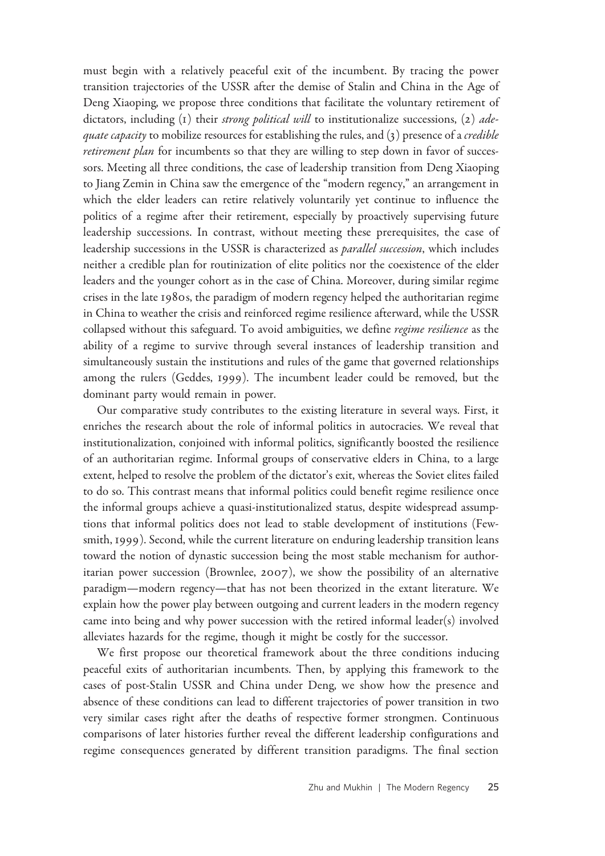must begin with a relatively peaceful exit of the incumbent. By tracing the power transition trajectories of the USSR after the demise of Stalin and China in the Age of Deng Xiaoping, we propose three conditions that facilitate the voluntary retirement of dictators, including  $(I)$  their *strong political will* to institutionalize successions,  $(2)$  *adequate capacity* to mobilize resources for establishing the rules, and  $(3)$  presence of a *credible* retirement plan for incumbents so that they are willing to step down in favor of successors. Meeting all three conditions, the case of leadership transition from Deng Xiaoping to Jiang Zemin in China saw the emergence of the "modern regency," an arrangement in which the elder leaders can retire relatively voluntarily yet continue to influence the politics of a regime after their retirement, especially by proactively supervising future leadership successions. In contrast, without meeting these prerequisites, the case of leadership successions in the USSR is characterized as parallel succession, which includes neither a credible plan for routinization of elite politics nor the coexistence of the elder leaders and the younger cohort as in the case of China. Moreover, during similar regime crises in the late 1980s, the paradigm of modern regency helped the authoritarian regime in China to weather the crisis and reinforced regime resilience afterward, while the USSR collapsed without this safeguard. To avoid ambiguities, we define regime resilience as the ability of a regime to survive through several instances of leadership transition and simultaneously sustain the institutions and rules of the game that governed relationships among the rulers (Geddes, 1999). The incumbent leader could be removed, but the dominant party would remain in power.

Our comparative study contributes to the existing literature in several ways. First, it enriches the research about the role of informal politics in autocracies. We reveal that institutionalization, conjoined with informal politics, significantly boosted the resilience of an authoritarian regime. Informal groups of conservative elders in China, to a large extent, helped to resolve the problem of the dictator's exit, whereas the Soviet elites failed to do so. This contrast means that informal politics could benefit regime resilience once the informal groups achieve a quasi-institutionalized status, despite widespread assumptions that informal politics does not lead to stable development of institutions (Fewsmith, 1999). Second, while the current literature on enduring leadership transition leans toward the notion of dynastic succession being the most stable mechanism for authoritarian power succession (Brownlee, 2007), we show the possibility of an alternative paradigm—modern regency—that has not been theorized in the extant literature. We explain how the power play between outgoing and current leaders in the modern regency came into being and why power succession with the retired informal leader(s) involved alleviates hazards for the regime, though it might be costly for the successor.

We first propose our theoretical framework about the three conditions inducing peaceful exits of authoritarian incumbents. Then, by applying this framework to the cases of post-Stalin USSR and China under Deng, we show how the presence and absence of these conditions can lead to different trajectories of power transition in two very similar cases right after the deaths of respective former strongmen. Continuous comparisons of later histories further reveal the different leadership configurations and regime consequences generated by different transition paradigms. The final section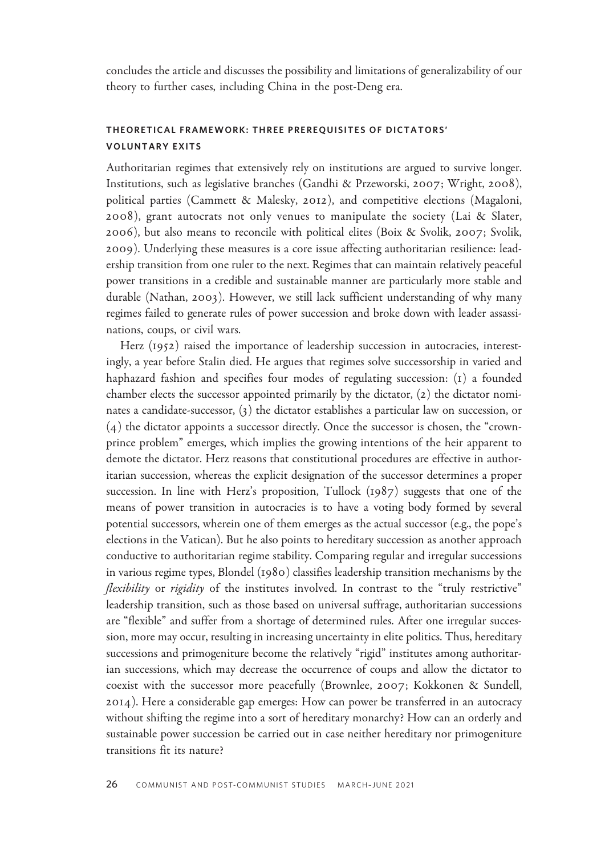concludes the article and discusses the possibility and limitations of generalizability of our theory to further cases, including China in the post-Deng era.

## THEORETICAL FRAMEWORK: THREE PREREQUISITES OF DICTATORS' VOLUNTARY EXITS

Authoritarian regimes that extensively rely on institutions are argued to survive longer. Institutions, such as legislative branches (Gandhi & Przeworski, 2007; Wright, 2008), political parties (Cammett & Malesky, 2012), and competitive elections (Magaloni, 2008), grant autocrats not only venues to manipulate the society (Lai & Slater, 2006), but also means to reconcile with political elites (Boix & Svolik, 2007; Svolik, 2009). Underlying these measures is a core issue affecting authoritarian resilience: leadership transition from one ruler to the next. Regimes that can maintain relatively peaceful power transitions in a credible and sustainable manner are particularly more stable and durable (Nathan, 2003). However, we still lack sufficient understanding of why many regimes failed to generate rules of power succession and broke down with leader assassinations, coups, or civil wars.

Herz (1952) raised the importance of leadership succession in autocracies, interestingly, a year before Stalin died. He argues that regimes solve successorship in varied and haphazard fashion and specifies four modes of regulating succession: (1) a founded chamber elects the successor appointed primarily by the dictator, (2) the dictator nominates a candidate-successor, (3) the dictator establishes a particular law on succession, or (4) the dictator appoints a successor directly. Once the successor is chosen, the "crownprince problem" emerges, which implies the growing intentions of the heir apparent to demote the dictator. Herz reasons that constitutional procedures are effective in authoritarian succession, whereas the explicit designation of the successor determines a proper succession. In line with Herz's proposition, Tullock (1987) suggests that one of the means of power transition in autocracies is to have a voting body formed by several potential successors, wherein one of them emerges as the actual successor (e.g., the pope's elections in the Vatican). But he also points to hereditary succession as another approach conductive to authoritarian regime stability. Comparing regular and irregular successions in various regime types, Blondel (1980) classifies leadership transition mechanisms by the flexibility or rigidity of the institutes involved. In contrast to the "truly restrictive" leadership transition, such as those based on universal suffrage, authoritarian successions are "flexible" and suffer from a shortage of determined rules. After one irregular succession, more may occur, resulting in increasing uncertainty in elite politics. Thus, hereditary successions and primogeniture become the relatively "rigid" institutes among authoritarian successions, which may decrease the occurrence of coups and allow the dictator to coexist with the successor more peacefully (Brownlee, 2007; Kokkonen & Sundell, 2014). Here a considerable gap emerges: How can power be transferred in an autocracy without shifting the regime into a sort of hereditary monarchy? How can an orderly and sustainable power succession be carried out in case neither hereditary nor primogeniture transitions fit its nature?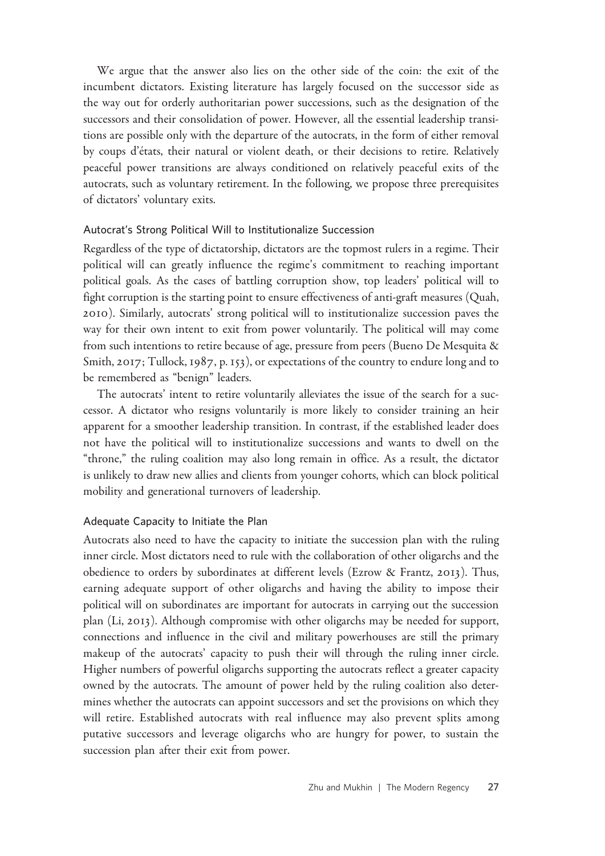We argue that the answer also lies on the other side of the coin: the exit of the incumbent dictators. Existing literature has largely focused on the successor side as the way out for orderly authoritarian power successions, such as the designation of the successors and their consolidation of power. However, all the essential leadership transitions are possible only with the departure of the autocrats, in the form of either removal by coups d'états, their natural or violent death, or their decisions to retire. Relatively peaceful power transitions are always conditioned on relatively peaceful exits of the autocrats, such as voluntary retirement. In the following, we propose three prerequisites of dictators' voluntary exits.

### Autocrat's Strong Political Will to Institutionalize Succession

Regardless of the type of dictatorship, dictators are the topmost rulers in a regime. Their political will can greatly influence the regime's commitment to reaching important political goals. As the cases of battling corruption show, top leaders' political will to fight corruption is the starting point to ensure effectiveness of anti-graft measures (Quah, 2010). Similarly, autocrats' strong political will to institutionalize succession paves the way for their own intent to exit from power voluntarily. The political will may come from such intentions to retire because of age, pressure from peers (Bueno De Mesquita & Smith, 2017; Tullock, 1987, p. 153), or expectations of the country to endure long and to be remembered as "benign" leaders.

The autocrats' intent to retire voluntarily alleviates the issue of the search for a successor. A dictator who resigns voluntarily is more likely to consider training an heir apparent for a smoother leadership transition. In contrast, if the established leader does not have the political will to institutionalize successions and wants to dwell on the "throne," the ruling coalition may also long remain in office. As a result, the dictator is unlikely to draw new allies and clients from younger cohorts, which can block political mobility and generational turnovers of leadership.

#### Adequate Capacity to Initiate the Plan

Autocrats also need to have the capacity to initiate the succession plan with the ruling inner circle. Most dictators need to rule with the collaboration of other oligarchs and the obedience to orders by subordinates at different levels (Ezrow & Frantz, 2013). Thus, earning adequate support of other oligarchs and having the ability to impose their political will on subordinates are important for autocrats in carrying out the succession plan (Li, 2013). Although compromise with other oligarchs may be needed for support, connections and influence in the civil and military powerhouses are still the primary makeup of the autocrats' capacity to push their will through the ruling inner circle. Higher numbers of powerful oligarchs supporting the autocrats reflect a greater capacity owned by the autocrats. The amount of power held by the ruling coalition also determines whether the autocrats can appoint successors and set the provisions on which they will retire. Established autocrats with real influence may also prevent splits among putative successors and leverage oligarchs who are hungry for power, to sustain the succession plan after their exit from power.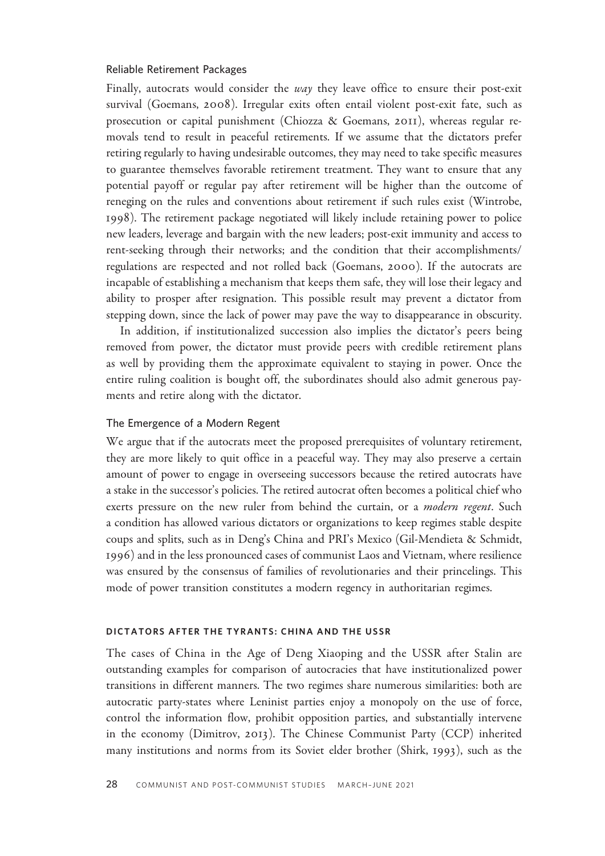#### Reliable Retirement Packages

Finally, autocrats would consider the way they leave office to ensure their post-exit survival (Goemans, 2008). Irregular exits often entail violent post-exit fate, such as prosecution or capital punishment (Chiozza & Goemans, 2011), whereas regular removals tend to result in peaceful retirements. If we assume that the dictators prefer retiring regularly to having undesirable outcomes, they may need to take specific measures to guarantee themselves favorable retirement treatment. They want to ensure that any potential payoff or regular pay after retirement will be higher than the outcome of reneging on the rules and conventions about retirement if such rules exist (Wintrobe, 1998). The retirement package negotiated will likely include retaining power to police new leaders, leverage and bargain with the new leaders; post-exit immunity and access to rent-seeking through their networks; and the condition that their accomplishments/ regulations are respected and not rolled back (Goemans, 2000). If the autocrats are incapable of establishing a mechanism that keeps them safe, they will lose their legacy and ability to prosper after resignation. This possible result may prevent a dictator from stepping down, since the lack of power may pave the way to disappearance in obscurity.

In addition, if institutionalized succession also implies the dictator's peers being removed from power, the dictator must provide peers with credible retirement plans as well by providing them the approximate equivalent to staying in power. Once the entire ruling coalition is bought off, the subordinates should also admit generous payments and retire along with the dictator.

#### The Emergence of a Modern Regent

We argue that if the autocrats meet the proposed prerequisites of voluntary retirement, they are more likely to quit office in a peaceful way. They may also preserve a certain amount of power to engage in overseeing successors because the retired autocrats have a stake in the successor's policies. The retired autocrat often becomes a political chief who exerts pressure on the new ruler from behind the curtain, or a *modern regent*. Such a condition has allowed various dictators or organizations to keep regimes stable despite coups and splits, such as in Deng's China and PRI's Mexico (Gil-Mendieta & Schmidt, 1996) and in the less pronounced cases of communist Laos and Vietnam, where resilience was ensured by the consensus of families of revolutionaries and their princelings. This mode of power transition constitutes a modern regency in authoritarian regimes.

#### DICTATORS AFTER THE TYRANTS: CHINA AND THE USSR

The cases of China in the Age of Deng Xiaoping and the USSR after Stalin are outstanding examples for comparison of autocracies that have institutionalized power transitions in different manners. The two regimes share numerous similarities: both are autocratic party-states where Leninist parties enjoy a monopoly on the use of force, control the information flow, prohibit opposition parties, and substantially intervene in the economy (Dimitrov, 2013). The Chinese Communist Party (CCP) inherited many institutions and norms from its Soviet elder brother (Shirk, 1993), such as the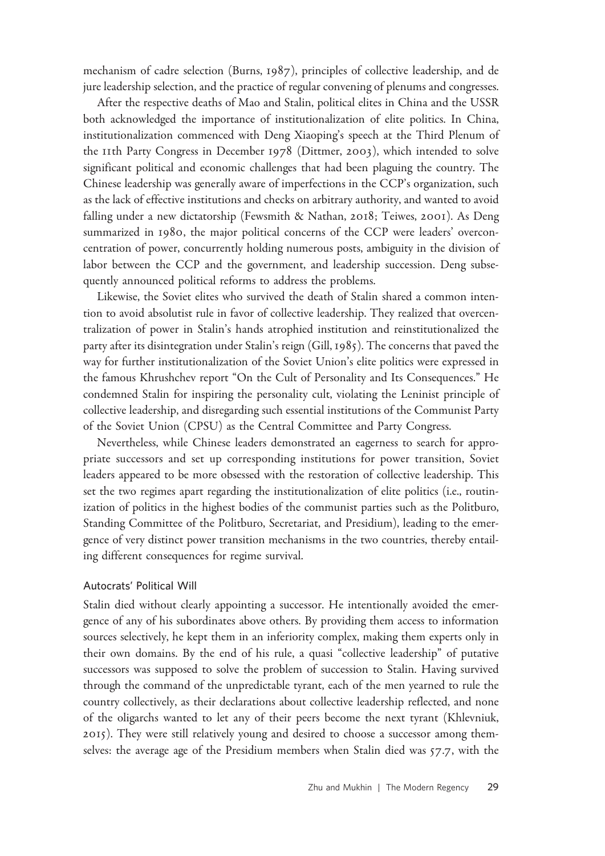mechanism of cadre selection (Burns, 1987), principles of collective leadership, and de jure leadership selection, and the practice of regular convening of plenums and congresses.

After the respective deaths of Mao and Stalin, political elites in China and the USSR both acknowledged the importance of institutionalization of elite politics. In China, institutionalization commenced with Deng Xiaoping's speech at the Third Plenum of the 11th Party Congress in December 1978 (Dittmer, 2003), which intended to solve significant political and economic challenges that had been plaguing the country. The Chinese leadership was generally aware of imperfections in the CCP's organization, such as the lack of effective institutions and checks on arbitrary authority, and wanted to avoid falling under a new dictatorship (Fewsmith & Nathan, 2018; Teiwes, 2001). As Deng summarized in 1980, the major political concerns of the CCP were leaders' overconcentration of power, concurrently holding numerous posts, ambiguity in the division of labor between the CCP and the government, and leadership succession. Deng subsequently announced political reforms to address the problems.

Likewise, the Soviet elites who survived the death of Stalin shared a common intention to avoid absolutist rule in favor of collective leadership. They realized that overcentralization of power in Stalin's hands atrophied institution and reinstitutionalized the party after its disintegration under Stalin's reign (Gill, 1985). The concerns that paved the way for further institutionalization of the Soviet Union's elite politics were expressed in the famous Khrushchev report "On the Cult of Personality and Its Consequences." He condemned Stalin for inspiring the personality cult, violating the Leninist principle of collective leadership, and disregarding such essential institutions of the Communist Party of the Soviet Union (CPSU) as the Central Committee and Party Congress.

Nevertheless, while Chinese leaders demonstrated an eagerness to search for appropriate successors and set up corresponding institutions for power transition, Soviet leaders appeared to be more obsessed with the restoration of collective leadership. This set the two regimes apart regarding the institutionalization of elite politics (i.e., routinization of politics in the highest bodies of the communist parties such as the Politburo, Standing Committee of the Politburo, Secretariat, and Presidium), leading to the emergence of very distinct power transition mechanisms in the two countries, thereby entailing different consequences for regime survival.

#### Autocrats' Political Will

Stalin died without clearly appointing a successor. He intentionally avoided the emergence of any of his subordinates above others. By providing them access to information sources selectively, he kept them in an inferiority complex, making them experts only in their own domains. By the end of his rule, a quasi "collective leadership" of putative successors was supposed to solve the problem of succession to Stalin. Having survived through the command of the unpredictable tyrant, each of the men yearned to rule the country collectively, as their declarations about collective leadership reflected, and none of the oligarchs wanted to let any of their peers become the next tyrant (Khlevniuk, 2015). They were still relatively young and desired to choose a successor among themselves: the average age of the Presidium members when Stalin died was 57.7, with the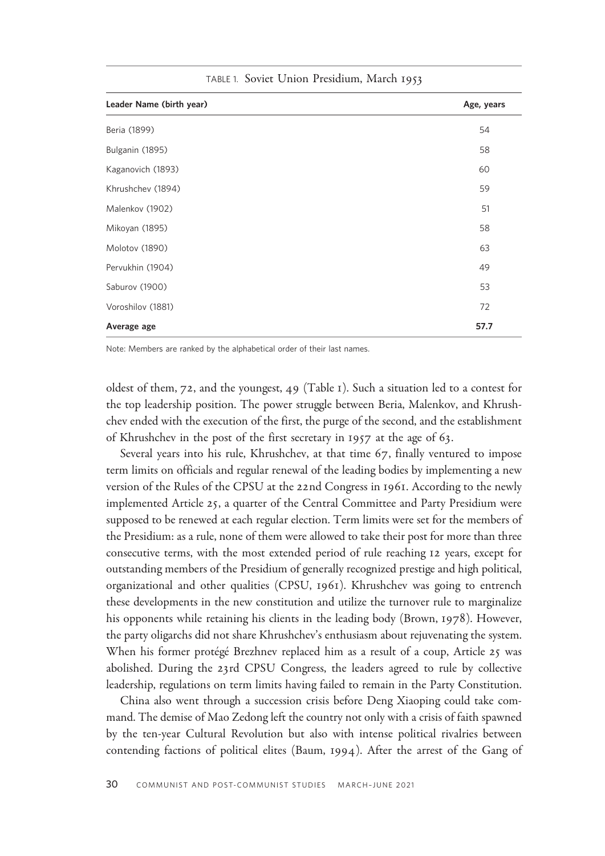| Leader Name (birth year) | Age, years |
|--------------------------|------------|
| Beria (1899)             | 54         |
| Bulganin (1895)          | 58         |
| Kaganovich (1893)        | 60         |
| Khrushchev (1894)        | 59         |
| Malenkov (1902)          | 51         |
| Mikoyan (1895)           | 58         |
| Molotov (1890)           | 63         |
| Pervukhin (1904)         | 49         |
| Saburov (1900)           | 53         |
| Voroshilov (1881)        | 72         |
| Average age              | 57.7       |

TABLE 1. Soviet Union Presidium, March 1953

Note: Members are ranked by the alphabetical order of their last names.

oldest of them, 72, and the youngest, 49 (Table 1). Such a situation led to a contest for the top leadership position. The power struggle between Beria, Malenkov, and Khrushchev ended with the execution of the first, the purge of the second, and the establishment of Khrushchev in the post of the first secretary in 1957 at the age of 63.

Several years into his rule, Khrushchev, at that time 67, finally ventured to impose term limits on officials and regular renewal of the leading bodies by implementing a new version of the Rules of the CPSU at the 22nd Congress in 1961. According to the newly implemented Article 25, a quarter of the Central Committee and Party Presidium were supposed to be renewed at each regular election. Term limits were set for the members of the Presidium: as a rule, none of them were allowed to take their post for more than three consecutive terms, with the most extended period of rule reaching 12 years, except for outstanding members of the Presidium of generally recognized prestige and high political, organizational and other qualities (CPSU, 1961). Khrushchev was going to entrench these developments in the new constitution and utilize the turnover rule to marginalize his opponents while retaining his clients in the leading body (Brown, 1978). However, the party oligarchs did not share Khrushchev's enthusiasm about rejuvenating the system. When his former protégé Brezhnev replaced him as a result of a coup, Article 25 was abolished. During the 23rd CPSU Congress, the leaders agreed to rule by collective leadership, regulations on term limits having failed to remain in the Party Constitution.

China also went through a succession crisis before Deng Xiaoping could take command. The demise of Mao Zedong left the country not only with a crisis of faith spawned by the ten-year Cultural Revolution but also with intense political rivalries between contending factions of political elites (Baum, 1994). After the arrest of the Gang of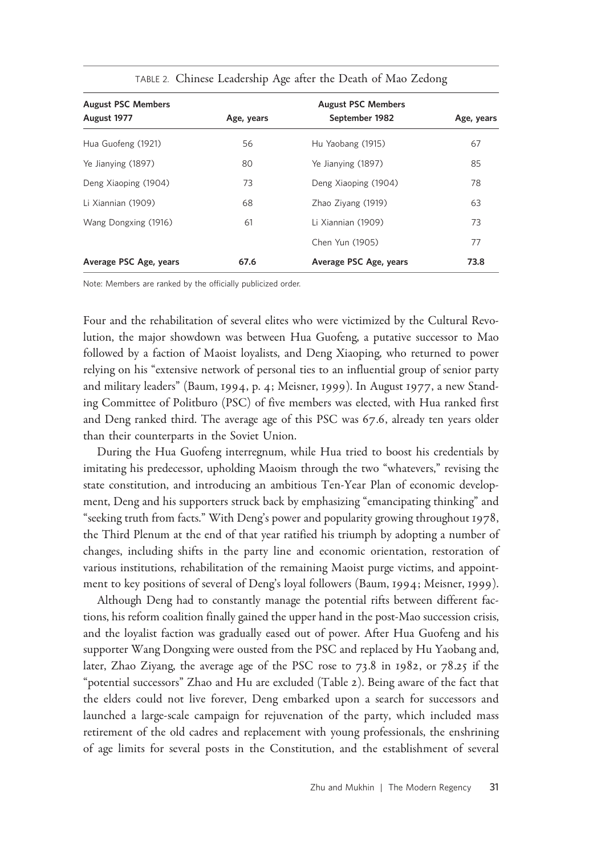| <b>August PSC Members</b> | <b>August PSC Members</b> |                        |            |
|---------------------------|---------------------------|------------------------|------------|
| August 1977               | Age, years                | September 1982         | Age, years |
| Hua Guofeng (1921)        | 56                        | Hu Yaobang (1915)      | 67         |
| Ye Jianying (1897)        | 80                        | Ye Jianying (1897)     | 85         |
| Deng Xiaoping (1904)      | 73                        | Deng Xiaoping (1904)   | 78         |
| Li Xiannian (1909)        | 68                        | Zhao Ziyang (1919)     | 63         |
| Wang Dongxing (1916)      | 61                        | Li Xiannian (1909)     | 73         |
|                           |                           | Chen Yun (1905)        | 77         |
| Average PSC Age, years    | 67.6                      | Average PSC Age, years | 73.8       |

TABLE 2. Chinese Leadership Age after the Death of Mao Zedong

Note: Members are ranked by the officially publicized order.

Four and the rehabilitation of several elites who were victimized by the Cultural Revolution, the major showdown was between Hua Guofeng, a putative successor to Mao followed by a faction of Maoist loyalists, and Deng Xiaoping, who returned to power relying on his "extensive network of personal ties to an influential group of senior party and military leaders" (Baum, 1994, p. 4; Meisner, 1999). In August 1977, a new Standing Committee of Politburo (PSC) of five members was elected, with Hua ranked first and Deng ranked third. The average age of this PSC was 67.6, already ten years older than their counterparts in the Soviet Union.

During the Hua Guofeng interregnum, while Hua tried to boost his credentials by imitating his predecessor, upholding Maoism through the two "whatevers," revising the state constitution, and introducing an ambitious Ten-Year Plan of economic development, Deng and his supporters struck back by emphasizing "emancipating thinking" and "seeking truth from facts." With Deng's power and popularity growing throughout 1978, the Third Plenum at the end of that year ratified his triumph by adopting a number of changes, including shifts in the party line and economic orientation, restoration of various institutions, rehabilitation of the remaining Maoist purge victims, and appointment to key positions of several of Deng's loyal followers (Baum, 1994; Meisner, 1999).

Although Deng had to constantly manage the potential rifts between different factions, his reform coalition finally gained the upper hand in the post-Mao succession crisis, and the loyalist faction was gradually eased out of power. After Hua Guofeng and his supporter Wang Dongxing were ousted from the PSC and replaced by Hu Yaobang and, later, Zhao Ziyang, the average age of the PSC rose to 73.8 in 1982, or 78.25 if the "potential successors" Zhao and Hu are excluded (Table 2). Being aware of the fact that the elders could not live forever, Deng embarked upon a search for successors and launched a large-scale campaign for rejuvenation of the party, which included mass retirement of the old cadres and replacement with young professionals, the enshrining of age limits for several posts in the Constitution, and the establishment of several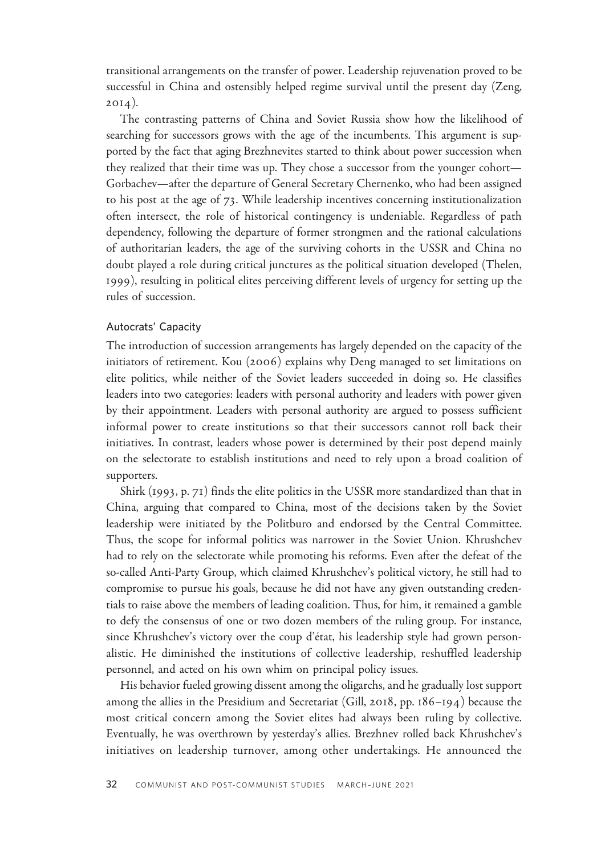transitional arrangements on the transfer of power. Leadership rejuvenation proved to be successful in China and ostensibly helped regime survival until the present day (Zeng,  $20I4$ ).

The contrasting patterns of China and Soviet Russia show how the likelihood of searching for successors grows with the age of the incumbents. This argument is supported by the fact that aging Brezhnevites started to think about power succession when they realized that their time was up. They chose a successor from the younger cohort— Gorbachev—after the departure of General Secretary Chernenko, who had been assigned to his post at the age of 73. While leadership incentives concerning institutionalization often intersect, the role of historical contingency is undeniable. Regardless of path dependency, following the departure of former strongmen and the rational calculations of authoritarian leaders, the age of the surviving cohorts in the USSR and China no doubt played a role during critical junctures as the political situation developed (Thelen, 1999), resulting in political elites perceiving different levels of urgency for setting up the rules of succession.

#### Autocrats' Capacity

The introduction of succession arrangements has largely depended on the capacity of the initiators of retirement. Kou (2006) explains why Deng managed to set limitations on elite politics, while neither of the Soviet leaders succeeded in doing so. He classifies leaders into two categories: leaders with personal authority and leaders with power given by their appointment. Leaders with personal authority are argued to possess sufficient informal power to create institutions so that their successors cannot roll back their initiatives. In contrast, leaders whose power is determined by their post depend mainly on the selectorate to establish institutions and need to rely upon a broad coalition of supporters.

Shirk (1993, p. 71) finds the elite politics in the USSR more standardized than that in China, arguing that compared to China, most of the decisions taken by the Soviet leadership were initiated by the Politburo and endorsed by the Central Committee. Thus, the scope for informal politics was narrower in the Soviet Union. Khrushchev had to rely on the selectorate while promoting his reforms. Even after the defeat of the so-called Anti-Party Group, which claimed Khrushchev's political victory, he still had to compromise to pursue his goals, because he did not have any given outstanding credentials to raise above the members of leading coalition. Thus, for him, it remained a gamble to defy the consensus of one or two dozen members of the ruling group. For instance, since Khrushchev's victory over the coup d'état, his leadership style had grown personalistic. He diminished the institutions of collective leadership, reshuffled leadership personnel, and acted on his own whim on principal policy issues.

His behavior fueled growing dissent among the oligarchs, and he gradually lost support among the allies in the Presidium and Secretariat (Gill, 2018, pp. 186–194) because the most critical concern among the Soviet elites had always been ruling by collective. Eventually, he was overthrown by yesterday's allies. Brezhnev rolled back Khrushchev's initiatives on leadership turnover, among other undertakings. He announced the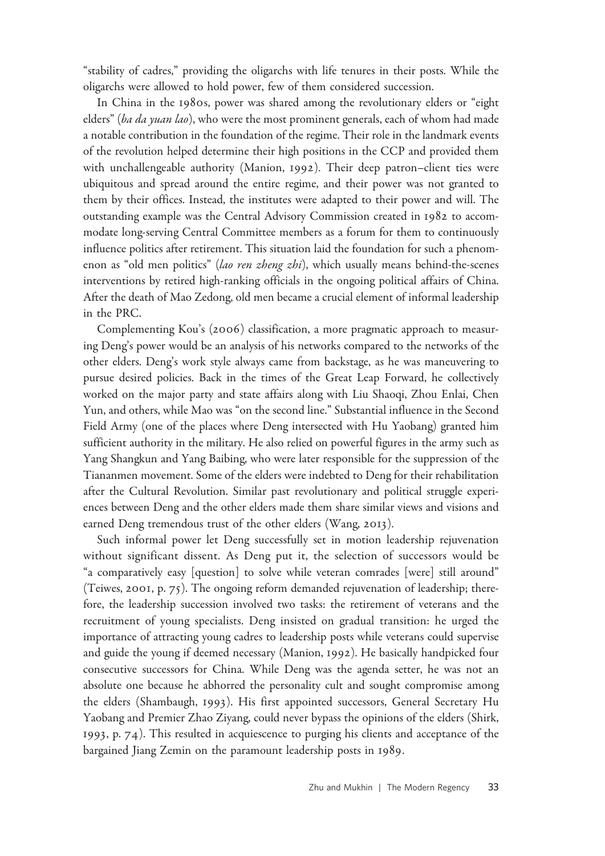"stability of cadres," providing the oligarchs with life tenures in their posts. While the oligarchs were allowed to hold power, few of them considered succession.

In China in the 1980s, power was shared among the revolutionary elders or "eight elders" (ba da yuan lao), who were the most prominent generals, each of whom had made a notable contribution in the foundation of the regime. Their role in the landmark events of the revolution helped determine their high positions in the CCP and provided them with unchallengeable authority (Manion, 1992). Their deep patron–client ties were ubiquitous and spread around the entire regime, and their power was not granted to them by their offices. Instead, the institutes were adapted to their power and will. The outstanding example was the Central Advisory Commission created in 1982 to accommodate long-serving Central Committee members as a forum for them to continuously influence politics after retirement. This situation laid the foundation for such a phenomenon as "old men politics" (lao ren zheng zhi), which usually means behind-the-scenes interventions by retired high-ranking officials in the ongoing political affairs of China. After the death of Mao Zedong, old men became a crucial element of informal leadership in the PRC.

Complementing Kou's (2006) classification, a more pragmatic approach to measuring Deng's power would be an analysis of his networks compared to the networks of the other elders. Deng's work style always came from backstage, as he was maneuvering to pursue desired policies. Back in the times of the Great Leap Forward, he collectively worked on the major party and state affairs along with Liu Shaoqi, Zhou Enlai, Chen Yun, and others, while Mao was "on the second line." Substantial influence in the Second Field Army (one of the places where Deng intersected with Hu Yaobang) granted him sufficient authority in the military. He also relied on powerful figures in the army such as Yang Shangkun and Yang Baibing, who were later responsible for the suppression of the Tiananmen movement. Some of the elders were indebted to Deng for their rehabilitation after the Cultural Revolution. Similar past revolutionary and political struggle experiences between Deng and the other elders made them share similar views and visions and earned Deng tremendous trust of the other elders (Wang, 2013).

Such informal power let Deng successfully set in motion leadership rejuvenation without significant dissent. As Deng put it, the selection of successors would be "a comparatively easy [question] to solve while veteran comrades [were] still around" (Teiwes, 2001, p. 75). The ongoing reform demanded rejuvenation of leadership; therefore, the leadership succession involved two tasks: the retirement of veterans and the recruitment of young specialists. Deng insisted on gradual transition: he urged the importance of attracting young cadres to leadership posts while veterans could supervise and guide the young if deemed necessary (Manion, 1992). He basically handpicked four consecutive successors for China. While Deng was the agenda setter, he was not an absolute one because he abhorred the personality cult and sought compromise among the elders (Shambaugh, 1993). His first appointed successors, General Secretary Hu Yaobang and Premier Zhao Ziyang, could never bypass the opinions of the elders (Shirk, 1993, p. 74). This resulted in acquiescence to purging his clients and acceptance of the bargained Jiang Zemin on the paramount leadership posts in 1989.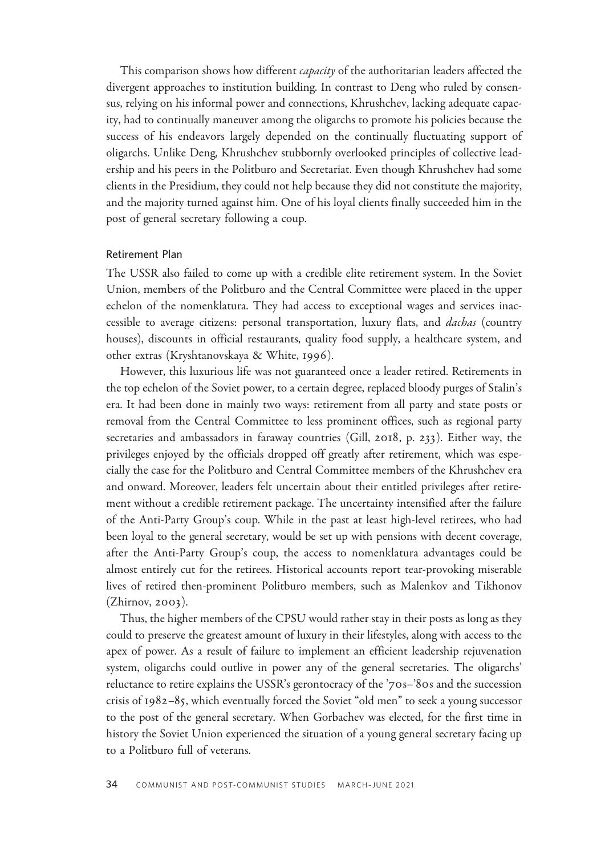This comparison shows how different *capacity* of the authoritarian leaders affected the divergent approaches to institution building. In contrast to Deng who ruled by consensus, relying on his informal power and connections, Khrushchev, lacking adequate capacity, had to continually maneuver among the oligarchs to promote his policies because the success of his endeavors largely depended on the continually fluctuating support of oligarchs. Unlike Deng, Khrushchev stubbornly overlooked principles of collective leadership and his peers in the Politburo and Secretariat. Even though Khrushchev had some clients in the Presidium, they could not help because they did not constitute the majority, and the majority turned against him. One of his loyal clients finally succeeded him in the post of general secretary following a coup.

#### Retirement Plan

The USSR also failed to come up with a credible elite retirement system. In the Soviet Union, members of the Politburo and the Central Committee were placed in the upper echelon of the nomenklatura. They had access to exceptional wages and services inaccessible to average citizens: personal transportation, luxury flats, and *dachas* (country houses), discounts in official restaurants, quality food supply, a healthcare system, and other extras (Kryshtanovskaya & White, 1996).

However, this luxurious life was not guaranteed once a leader retired. Retirements in the top echelon of the Soviet power, to a certain degree, replaced bloody purges of Stalin's era. It had been done in mainly two ways: retirement from all party and state posts or removal from the Central Committee to less prominent offices, such as regional party secretaries and ambassadors in faraway countries (Gill, 2018, p. 233). Either way, the privileges enjoyed by the officials dropped off greatly after retirement, which was especially the case for the Politburo and Central Committee members of the Khrushchev era and onward. Moreover, leaders felt uncertain about their entitled privileges after retirement without a credible retirement package. The uncertainty intensified after the failure of the Anti-Party Group's coup. While in the past at least high-level retirees, who had been loyal to the general secretary, would be set up with pensions with decent coverage, after the Anti-Party Group's coup, the access to nomenklatura advantages could be almost entirely cut for the retirees. Historical accounts report tear-provoking miserable lives of retired then-prominent Politburo members, such as Malenkov and Tikhonov (Zhirnov, 2003).

Thus, the higher members of the CPSU would rather stay in their posts as long as they could to preserve the greatest amount of luxury in their lifestyles, along with access to the apex of power. As a result of failure to implement an efficient leadership rejuvenation system, oligarchs could outlive in power any of the general secretaries. The oligarchs' reluctance to retire explains the USSR's gerontocracy of the '70s–'80s and the succession crisis of 1982–85, which eventually forced the Soviet "old men" to seek a young successor to the post of the general secretary. When Gorbachev was elected, for the first time in history the Soviet Union experienced the situation of a young general secretary facing up to a Politburo full of veterans.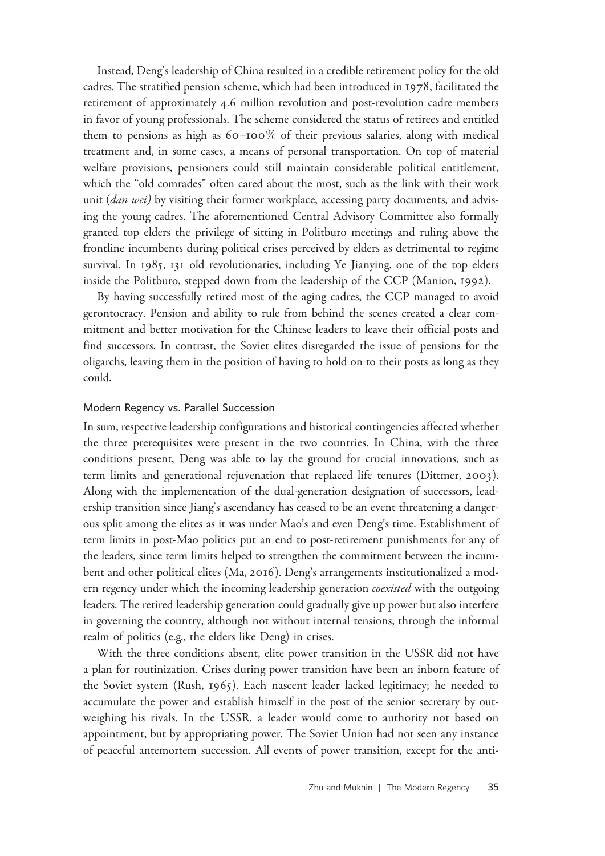Instead, Deng's leadership of China resulted in a credible retirement policy for the old cadres. The stratified pension scheme, which had been introduced in 1978, facilitated the retirement of approximately 4.6 million revolution and post-revolution cadre members in favor of young professionals. The scheme considered the status of retirees and entitled them to pensions as high as  $60-100\%$  of their previous salaries, along with medical treatment and, in some cases, a means of personal transportation. On top of material welfare provisions, pensioners could still maintain considerable political entitlement, which the "old comrades" often cared about the most, such as the link with their work unit (dan wei) by visiting their former workplace, accessing party documents, and advising the young cadres. The aforementioned Central Advisory Committee also formally granted top elders the privilege of sitting in Politburo meetings and ruling above the frontline incumbents during political crises perceived by elders as detrimental to regime survival. In 1985, 131 old revolutionaries, including Ye Jianying, one of the top elders inside the Politburo, stepped down from the leadership of the CCP (Manion, 1992).

By having successfully retired most of the aging cadres, the CCP managed to avoid gerontocracy. Pension and ability to rule from behind the scenes created a clear commitment and better motivation for the Chinese leaders to leave their official posts and find successors. In contrast, the Soviet elites disregarded the issue of pensions for the oligarchs, leaving them in the position of having to hold on to their posts as long as they could.

#### Modern Regency vs. Parallel Succession

In sum, respective leadership configurations and historical contingencies affected whether the three prerequisites were present in the two countries. In China, with the three conditions present, Deng was able to lay the ground for crucial innovations, such as term limits and generational rejuvenation that replaced life tenures (Dittmer, 2003). Along with the implementation of the dual-generation designation of successors, leadership transition since Jiang's ascendancy has ceased to be an event threatening a dangerous split among the elites as it was under Mao's and even Deng's time. Establishment of term limits in post-Mao politics put an end to post-retirement punishments for any of the leaders, since term limits helped to strengthen the commitment between the incumbent and other political elites (Ma, 2016). Deng's arrangements institutionalized a modern regency under which the incoming leadership generation *coexisted* with the outgoing leaders. The retired leadership generation could gradually give up power but also interfere in governing the country, although not without internal tensions, through the informal realm of politics (e.g., the elders like Deng) in crises.

With the three conditions absent, elite power transition in the USSR did not have a plan for routinization. Crises during power transition have been an inborn feature of the Soviet system (Rush, 1965). Each nascent leader lacked legitimacy; he needed to accumulate the power and establish himself in the post of the senior secretary by outweighing his rivals. In the USSR, a leader would come to authority not based on appointment, but by appropriating power. The Soviet Union had not seen any instance of peaceful antemortem succession. All events of power transition, except for the anti-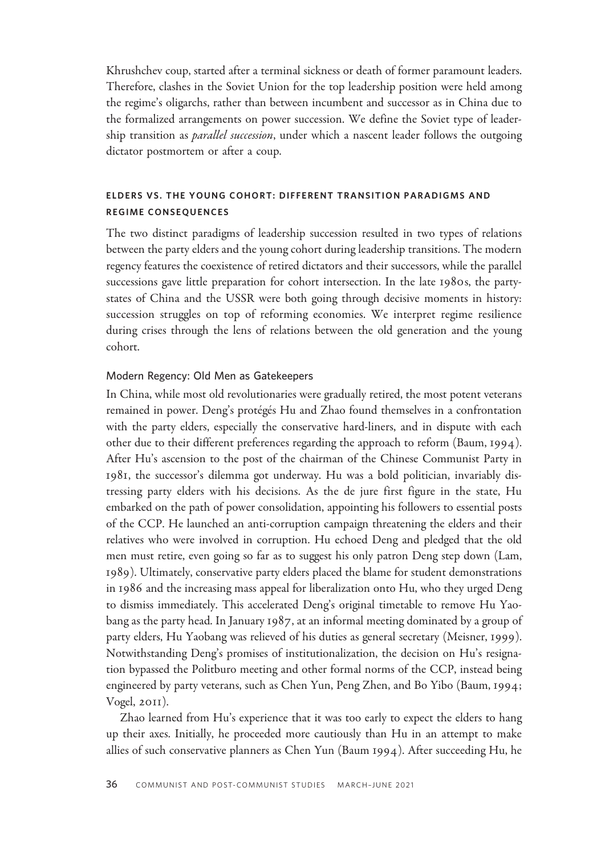Khrushchev coup, started after a terminal sickness or death of former paramount leaders. Therefore, clashes in the Soviet Union for the top leadership position were held among the regime's oligarchs, rather than between incumbent and successor as in China due to the formalized arrangements on power succession. We define the Soviet type of leadership transition as *parallel succession*, under which a nascent leader follows the outgoing dictator postmortem or after a coup.

## ELDERS VS. THE YOUNG COHORT: DIFFERENT TRANSITION PARADIGMS AND REGIME CONSEQUENCES

The two distinct paradigms of leadership succession resulted in two types of relations between the party elders and the young cohort during leadership transitions. The modern regency features the coexistence of retired dictators and their successors, while the parallel successions gave little preparation for cohort intersection. In the late 1980s, the partystates of China and the USSR were both going through decisive moments in history: succession struggles on top of reforming economies. We interpret regime resilience during crises through the lens of relations between the old generation and the young cohort.

## Modern Regency: Old Men as Gatekeepers

In China, while most old revolutionaries were gradually retired, the most potent veterans remained in power. Deng's protégés Hu and Zhao found themselves in a confrontation with the party elders, especially the conservative hard-liners, and in dispute with each other due to their different preferences regarding the approach to reform (Baum, 1994). After Hu's ascension to the post of the chairman of the Chinese Communist Party in 1981, the successor's dilemma got underway. Hu was a bold politician, invariably distressing party elders with his decisions. As the de jure first figure in the state, Hu embarked on the path of power consolidation, appointing his followers to essential posts of the CCP. He launched an anti-corruption campaign threatening the elders and their relatives who were involved in corruption. Hu echoed Deng and pledged that the old men must retire, even going so far as to suggest his only patron Deng step down (Lam, 1989). Ultimately, conservative party elders placed the blame for student demonstrations in 1986 and the increasing mass appeal for liberalization onto Hu, who they urged Deng to dismiss immediately. This accelerated Deng's original timetable to remove Hu Yaobang as the party head. In January 1987, at an informal meeting dominated by a group of party elders, Hu Yaobang was relieved of his duties as general secretary (Meisner, 1999). Notwithstanding Deng's promises of institutionalization, the decision on Hu's resignation bypassed the Politburo meeting and other formal norms of the CCP, instead being engineered by party veterans, such as Chen Yun, Peng Zhen, and Bo Yibo (Baum, 1994; Vogel, 2011).

Zhao learned from Hu's experience that it was too early to expect the elders to hang up their axes. Initially, he proceeded more cautiously than Hu in an attempt to make allies of such conservative planners as Chen Yun (Baum 1994). After succeeding Hu, he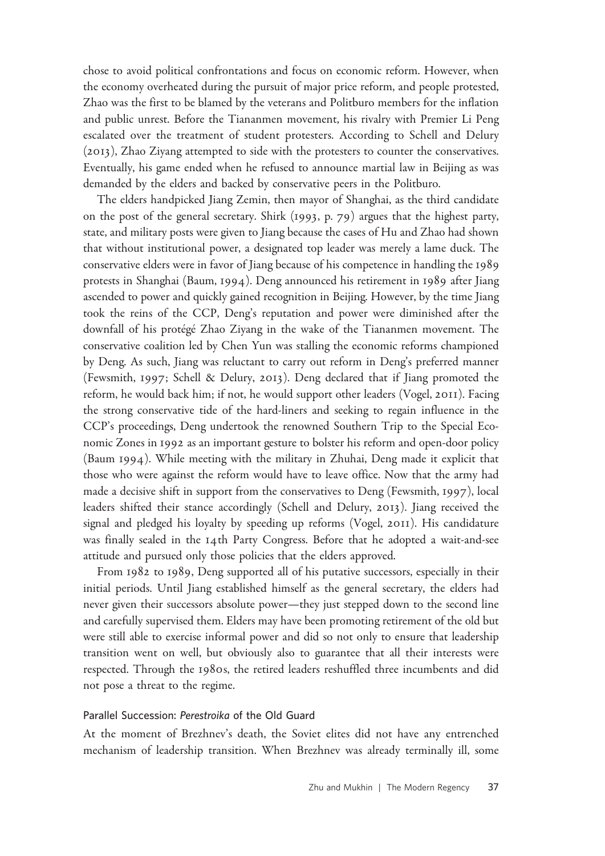chose to avoid political confrontations and focus on economic reform. However, when the economy overheated during the pursuit of major price reform, and people protested, Zhao was the first to be blamed by the veterans and Politburo members for the inflation and public unrest. Before the Tiananmen movement, his rivalry with Premier Li Peng escalated over the treatment of student protesters. According to Schell and Delury (2013), Zhao Ziyang attempted to side with the protesters to counter the conservatives. Eventually, his game ended when he refused to announce martial law in Beijing as was demanded by the elders and backed by conservative peers in the Politburo.

The elders handpicked Jiang Zemin, then mayor of Shanghai, as the third candidate on the post of the general secretary. Shirk (1993, p. 79) argues that the highest party, state, and military posts were given to Jiang because the cases of Hu and Zhao had shown that without institutional power, a designated top leader was merely a lame duck. The conservative elders were in favor of Jiang because of his competence in handling the 1989 protests in Shanghai (Baum, 1994). Deng announced his retirement in 1989 after Jiang ascended to power and quickly gained recognition in Beijing. However, by the time Jiang took the reins of the CCP, Deng's reputation and power were diminished after the downfall of his protégé Zhao Ziyang in the wake of the Tiananmen movement. The conservative coalition led by Chen Yun was stalling the economic reforms championed by Deng. As such, Jiang was reluctant to carry out reform in Deng's preferred manner (Fewsmith, 1997; Schell & Delury, 2013). Deng declared that if Jiang promoted the reform, he would back him; if not, he would support other leaders (Vogel, 2011). Facing the strong conservative tide of the hard-liners and seeking to regain influence in the CCP's proceedings, Deng undertook the renowned Southern Trip to the Special Economic Zones in 1992 as an important gesture to bolster his reform and open-door policy (Baum 1994). While meeting with the military in Zhuhai, Deng made it explicit that those who were against the reform would have to leave office. Now that the army had made a decisive shift in support from the conservatives to Deng (Fewsmith, 1997), local leaders shifted their stance accordingly (Schell and Delury, 2013). Jiang received the signal and pledged his loyalty by speeding up reforms (Vogel, 2011). His candidature was finally sealed in the 14th Party Congress. Before that he adopted a wait-and-see attitude and pursued only those policies that the elders approved.

From 1982 to 1989, Deng supported all of his putative successors, especially in their initial periods. Until Jiang established himself as the general secretary, the elders had never given their successors absolute power—they just stepped down to the second line and carefully supervised them. Elders may have been promoting retirement of the old but were still able to exercise informal power and did so not only to ensure that leadership transition went on well, but obviously also to guarantee that all their interests were respected. Through the 1980s, the retired leaders reshuffled three incumbents and did not pose a threat to the regime.

### Parallel Succession: Perestroika of the Old Guard

At the moment of Brezhnev's death, the Soviet elites did not have any entrenched mechanism of leadership transition. When Brezhnev was already terminally ill, some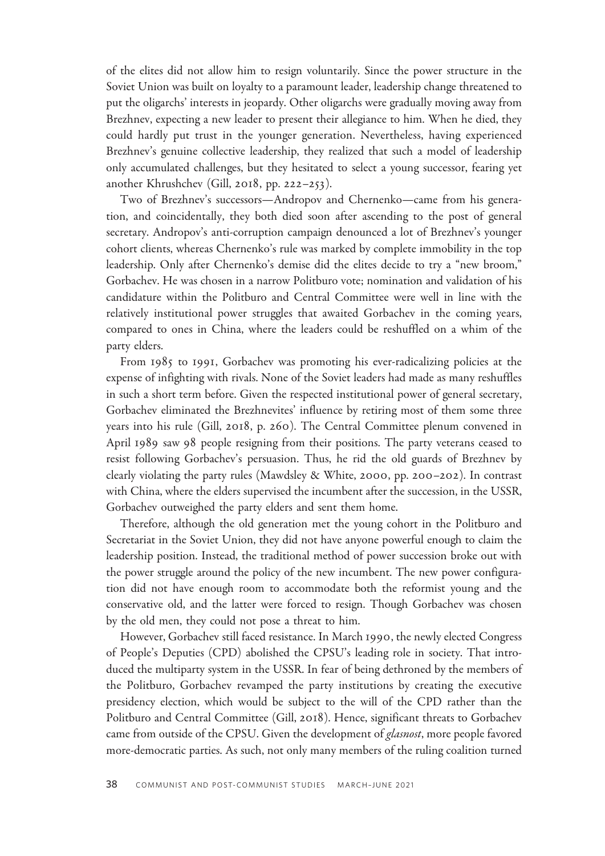of the elites did not allow him to resign voluntarily. Since the power structure in the Soviet Union was built on loyalty to a paramount leader, leadership change threatened to put the oligarchs' interests in jeopardy. Other oligarchs were gradually moving away from Brezhnev, expecting a new leader to present their allegiance to him. When he died, they could hardly put trust in the younger generation. Nevertheless, having experienced Brezhnev's genuine collective leadership, they realized that such a model of leadership only accumulated challenges, but they hesitated to select a young successor, fearing yet another Khrushchev (Gill, 2018, pp. 222–253).

Two of Brezhnev's successors—Andropov and Chernenko—came from his generation, and coincidentally, they both died soon after ascending to the post of general secretary. Andropov's anti-corruption campaign denounced a lot of Brezhnev's younger cohort clients, whereas Chernenko's rule was marked by complete immobility in the top leadership. Only after Chernenko's demise did the elites decide to try a "new broom," Gorbachev. He was chosen in a narrow Politburo vote; nomination and validation of his candidature within the Politburo and Central Committee were well in line with the relatively institutional power struggles that awaited Gorbachev in the coming years, compared to ones in China, where the leaders could be reshuffled on a whim of the party elders.

From 1985 to 1991, Gorbachev was promoting his ever-radicalizing policies at the expense of infighting with rivals. None of the Soviet leaders had made as many reshuffles in such a short term before. Given the respected institutional power of general secretary, Gorbachev eliminated the Brezhnevites' influence by retiring most of them some three years into his rule (Gill, 2018, p. 260). The Central Committee plenum convened in April 1989 saw 98 people resigning from their positions. The party veterans ceased to resist following Gorbachev's persuasion. Thus, he rid the old guards of Brezhnev by clearly violating the party rules (Mawdsley & White, 2000, pp. 200–202). In contrast with China, where the elders supervised the incumbent after the succession, in the USSR, Gorbachev outweighed the party elders and sent them home.

Therefore, although the old generation met the young cohort in the Politburo and Secretariat in the Soviet Union, they did not have anyone powerful enough to claim the leadership position. Instead, the traditional method of power succession broke out with the power struggle around the policy of the new incumbent. The new power configuration did not have enough room to accommodate both the reformist young and the conservative old, and the latter were forced to resign. Though Gorbachev was chosen by the old men, they could not pose a threat to him.

However, Gorbachev still faced resistance. In March 1990, the newly elected Congress of People's Deputies (CPD) abolished the CPSU's leading role in society. That introduced the multiparty system in the USSR. In fear of being dethroned by the members of the Politburo, Gorbachev revamped the party institutions by creating the executive presidency election, which would be subject to the will of the CPD rather than the Politburo and Central Committee (Gill, 2018). Hence, significant threats to Gorbachev came from outside of the CPSU. Given the development of *glasnost*, more people favored more-democratic parties. As such, not only many members of the ruling coalition turned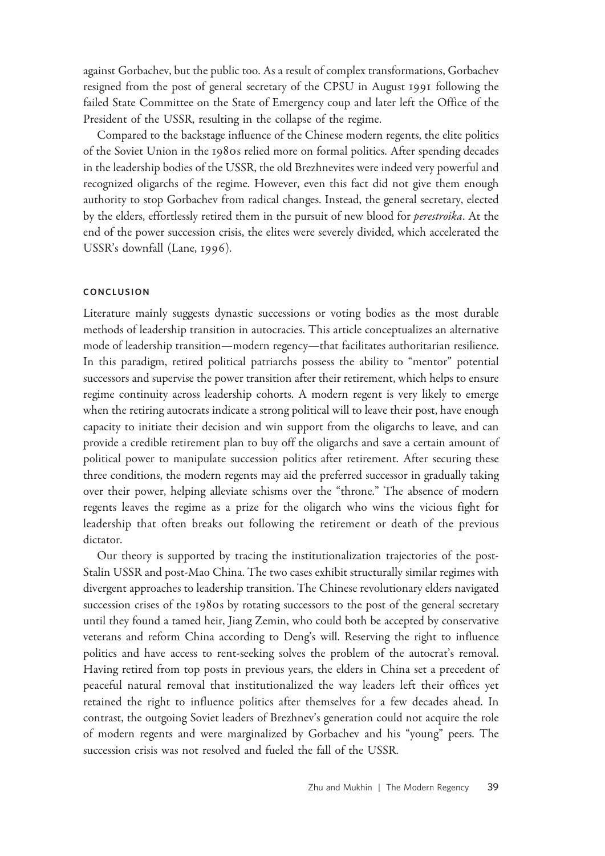against Gorbachev, but the public too. As a result of complex transformations, Gorbachev resigned from the post of general secretary of the CPSU in August 1991 following the failed State Committee on the State of Emergency coup and later left the Office of the President of the USSR, resulting in the collapse of the regime.

Compared to the backstage influence of the Chinese modern regents, the elite politics of the Soviet Union in the 1980s relied more on formal politics. After spending decades in the leadership bodies of the USSR, the old Brezhnevites were indeed very powerful and recognized oligarchs of the regime. However, even this fact did not give them enough authority to stop Gorbachev from radical changes. Instead, the general secretary, elected by the elders, effortlessly retired them in the pursuit of new blood for *perestroika*. At the end of the power succession crisis, the elites were severely divided, which accelerated the USSR's downfall (Lane, 1996).

### **CONCLUSION**

Literature mainly suggests dynastic successions or voting bodies as the most durable methods of leadership transition in autocracies. This article conceptualizes an alternative mode of leadership transition—modern regency—that facilitates authoritarian resilience. In this paradigm, retired political patriarchs possess the ability to "mentor" potential successors and supervise the power transition after their retirement, which helps to ensure regime continuity across leadership cohorts. A modern regent is very likely to emerge when the retiring autocrats indicate a strong political will to leave their post, have enough capacity to initiate their decision and win support from the oligarchs to leave, and can provide a credible retirement plan to buy off the oligarchs and save a certain amount of political power to manipulate succession politics after retirement. After securing these three conditions, the modern regents may aid the preferred successor in gradually taking over their power, helping alleviate schisms over the "throne." The absence of modern regents leaves the regime as a prize for the oligarch who wins the vicious fight for leadership that often breaks out following the retirement or death of the previous dictator.

Our theory is supported by tracing the institutionalization trajectories of the post-Stalin USSR and post-Mao China. The two cases exhibit structurally similar regimes with divergent approaches to leadership transition. The Chinese revolutionary elders navigated succession crises of the 1980s by rotating successors to the post of the general secretary until they found a tamed heir, Jiang Zemin, who could both be accepted by conservative veterans and reform China according to Deng's will. Reserving the right to influence politics and have access to rent-seeking solves the problem of the autocrat's removal. Having retired from top posts in previous years, the elders in China set a precedent of peaceful natural removal that institutionalized the way leaders left their offices yet retained the right to influence politics after themselves for a few decades ahead. In contrast, the outgoing Soviet leaders of Brezhnev's generation could not acquire the role of modern regents and were marginalized by Gorbachev and his "young" peers. The succession crisis was not resolved and fueled the fall of the USSR.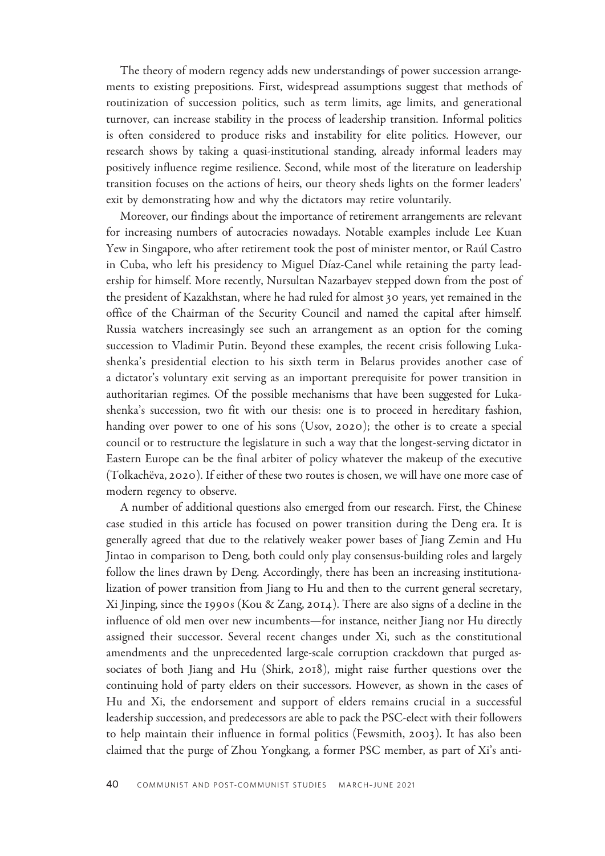The theory of modern regency adds new understandings of power succession arrangements to existing prepositions. First, widespread assumptions suggest that methods of routinization of succession politics, such as term limits, age limits, and generational turnover, can increase stability in the process of leadership transition. Informal politics is often considered to produce risks and instability for elite politics. However, our research shows by taking a quasi-institutional standing, already informal leaders may positively influence regime resilience. Second, while most of the literature on leadership transition focuses on the actions of heirs, our theory sheds lights on the former leaders' exit by demonstrating how and why the dictators may retire voluntarily.

Moreover, our findings about the importance of retirement arrangements are relevant for increasing numbers of autocracies nowadays. Notable examples include Lee Kuan Yew in Singapore, who after retirement took the post of minister mentor, or Rau´l Castro in Cuba, who left his presidency to Miguel Díaz-Canel while retaining the party leadership for himself. More recently, Nursultan Nazarbayev stepped down from the post of the president of Kazakhstan, where he had ruled for almost 30 years, yet remained in the office of the Chairman of the Security Council and named the capital after himself. Russia watchers increasingly see such an arrangement as an option for the coming succession to Vladimir Putin. Beyond these examples, the recent crisis following Lukashenka's presidential election to his sixth term in Belarus provides another case of a dictator's voluntary exit serving as an important prerequisite for power transition in authoritarian regimes. Of the possible mechanisms that have been suggested for Lukashenka's succession, two fit with our thesis: one is to proceed in hereditary fashion, handing over power to one of his sons (Usov, 2020); the other is to create a special council or to restructure the legislature in such a way that the longest-serving dictator in Eastern Europe can be the final arbiter of policy whatever the makeup of the executive (Tolkachëva, 2020). If either of these two routes is chosen, we will have one more case of modern regency to observe.

A number of additional questions also emerged from our research. First, the Chinese case studied in this article has focused on power transition during the Deng era. It is generally agreed that due to the relatively weaker power bases of Jiang Zemin and Hu Jintao in comparison to Deng, both could only play consensus-building roles and largely follow the lines drawn by Deng. Accordingly, there has been an increasing institutionalization of power transition from Jiang to Hu and then to the current general secretary, Xi Jinping, since the 1990s (Kou & Zang, 2014). There are also signs of a decline in the influence of old men over new incumbents—for instance, neither Jiang nor Hu directly assigned their successor. Several recent changes under Xi, such as the constitutional amendments and the unprecedented large-scale corruption crackdown that purged associates of both Jiang and Hu (Shirk, 2018), might raise further questions over the continuing hold of party elders on their successors. However, as shown in the cases of Hu and Xi, the endorsement and support of elders remains crucial in a successful leadership succession, and predecessors are able to pack the PSC-elect with their followers to help maintain their influence in formal politics (Fewsmith, 2003). It has also been claimed that the purge of Zhou Yongkang, a former PSC member, as part of Xi's anti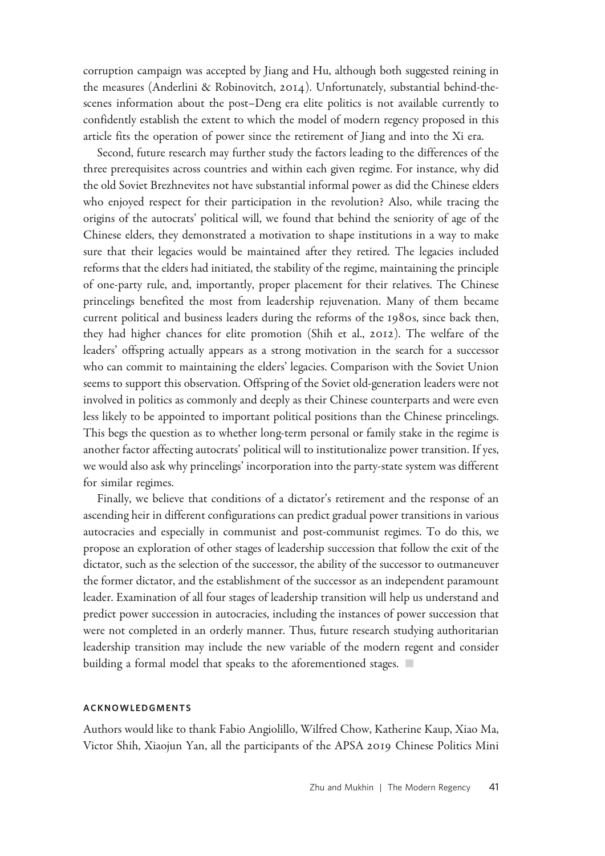corruption campaign was accepted by Jiang and Hu, although both suggested reining in the measures (Anderlini & Robinovitch, 2014). Unfortunately, substantial behind-thescenes information about the post–Deng era elite politics is not available currently to confidently establish the extent to which the model of modern regency proposed in this article fits the operation of power since the retirement of Jiang and into the Xi era.

Second, future research may further study the factors leading to the differences of the three prerequisites across countries and within each given regime. For instance, why did the old Soviet Brezhnevites not have substantial informal power as did the Chinese elders who enjoyed respect for their participation in the revolution? Also, while tracing the origins of the autocrats' political will, we found that behind the seniority of age of the Chinese elders, they demonstrated a motivation to shape institutions in a way to make sure that their legacies would be maintained after they retired. The legacies included reforms that the elders had initiated, the stability of the regime, maintaining the principle of one-party rule, and, importantly, proper placement for their relatives. The Chinese princelings benefited the most from leadership rejuvenation. Many of them became current political and business leaders during the reforms of the 1980s, since back then, they had higher chances for elite promotion (Shih et al., 2012). The welfare of the leaders' offspring actually appears as a strong motivation in the search for a successor who can commit to maintaining the elders' legacies. Comparison with the Soviet Union seems to support this observation. Offspring of the Soviet old-generation leaders were not involved in politics as commonly and deeply as their Chinese counterparts and were even less likely to be appointed to important political positions than the Chinese princelings. This begs the question as to whether long-term personal or family stake in the regime is another factor affecting autocrats' political will to institutionalize power transition. If yes, we would also ask why princelings' incorporation into the party-state system was different for similar regimes.

Finally, we believe that conditions of a dictator's retirement and the response of an ascending heir in different configurations can predict gradual power transitions in various autocracies and especially in communist and post-communist regimes. To do this, we propose an exploration of other stages of leadership succession that follow the exit of the dictator, such as the selection of the successor, the ability of the successor to outmaneuver the former dictator, and the establishment of the successor as an independent paramount leader. Examination of all four stages of leadership transition will help us understand and predict power succession in autocracies, including the instances of power succession that were not completed in an orderly manner. Thus, future research studying authoritarian leadership transition may include the new variable of the modern regent and consider building a formal model that speaks to the aforementioned stages.  $\Box$ 

#### ACKNOWLEDGMENTS

Authors would like to thank Fabio Angiolillo, Wilfred Chow, Katherine Kaup, Xiao Ma, Victor Shih, Xiaojun Yan, all the participants of the APSA 2019 Chinese Politics Mini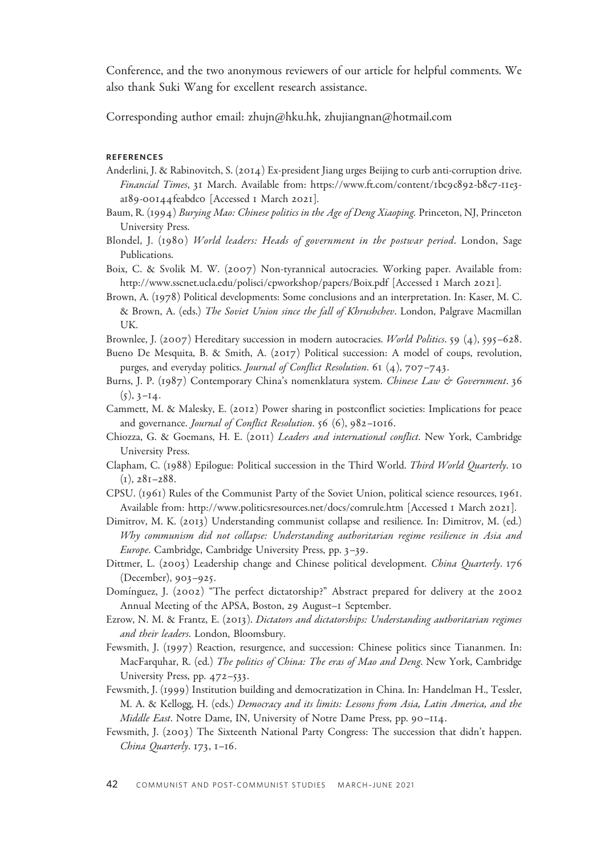Conference, and the two anonymous reviewers of our article for helpful comments. We also thank Suki Wang for excellent research assistance.

Corresponding author email: zhujn@hku.hk, zhujiangnan@hotmail.com

#### REFERENCES

- Anderlini, J. & Rabinovitch, S. (2014) Ex-president Jiang urges Beijing to curb anti-corruption drive. Financial Times, 31 March. Available from: [https://www.ft.com/content/](https://www.ft.com/content/1bc9c892-b8c7-11e3-a189-00144feabdc0)1bc9c892-b8c7-11e3 a189-00144[feabdc](https://www.ft.com/content/1bc9c892-b8c7-11e3-a189-00144feabdc0)0 [Accessed 1 March 2021].
- Baum, R. (1994) Burying Mao: Chinese politics in the Age of Deng Xiaoping. Princeton, NJ, Princeton University Press.
- Blondel, J. (1980) World leaders: Heads of government in the postwar period. London, Sage Publications.
- Boix, C. & Svolik M. W. (2007) Non-tyrannical autocracies. Working paper. Available from: <http://www.sscnet.ucla.edu/polisci/cpworkshop/papers/Boix.pdf> [Accessed 1 March 2021].
- Brown, A. (1978) Political developments: Some conclusions and an interpretation. In: Kaser, M. C. & Brown, A. (eds.) The Soviet Union since the fall of Khrushchev. London, Palgrave Macmillan UK.
- Brownlee, J. (2007) Hereditary succession in modern autocracies. World Politics. 59 (4), 595–628.
- Bueno De Mesquita, B. & Smith, A. (2017) Political succession: A model of coups, revolution, purges, and everyday politics. *Journal of Conflict Resolution*. 61  $(4)$ , 707-743.
- Burns, J. P. (1987) Contemporary China's nomenklatura system. Chinese Law & Government. 36  $(5), 3-14.$
- Cammett, M. & Malesky, E. (2012) Power sharing in postconflict societies: Implications for peace and governance. Journal of Conflict Resolution. 56 (6), 982–1016.
- Chiozza, G. & Goemans, H. E. (2011) Leaders and international conflict. New York, Cambridge University Press.
- Clapham, C. (1988) Epilogue: Political succession in the Third World. Third World Quarterly. 10  $(I), 28I-288.$
- CPSU. (1961) Rules of the Communist Party of the Soviet Union, political science resources, 1961. Available from:<http://www.politicsresources.net/docs/comrule.htm> [Accessed 1 March 2021].
- Dimitrov, M. K. (2013) Understanding communist collapse and resilience. In: Dimitrov, M. (ed.) Why communism did not collapse: Understanding authoritarian regime resilience in Asia and Europe. Cambridge, Cambridge University Press, pp. 3–39.
- Dittmer, L. (2003) Leadership change and Chinese political development. China Quarterly. 176 (December), 903–925.
- Domı´nguez, J. (2002) "The perfect dictatorship?" Abstract prepared for delivery at the 2002 Annual Meeting of the APSA, Boston, 29 August–1 September.
- Ezrow, N. M. & Frantz, E. (2013). Dictators and dictatorships: Understanding authoritarian regimes and their leaders. London, Bloomsbury.
- Fewsmith, J. (1997) Reaction, resurgence, and succession: Chinese politics since Tiananmen. In: MacFarquhar, R. (ed.) The politics of China: The eras of Mao and Deng. New York, Cambridge University Press, pp. 472–533.
- Fewsmith, J. (1999) Institution building and democratization in China. In: Handelman H., Tessler, M. A. & Kellogg, H. (eds.) Democracy and its limits: Lessons from Asia, Latin America, and the Middle East. Notre Dame, IN, University of Notre Dame Press, pp. 90–114.
- Fewsmith, J. (2003) The Sixteenth National Party Congress: The succession that didn't happen. China Quarterly. 173, 1–16.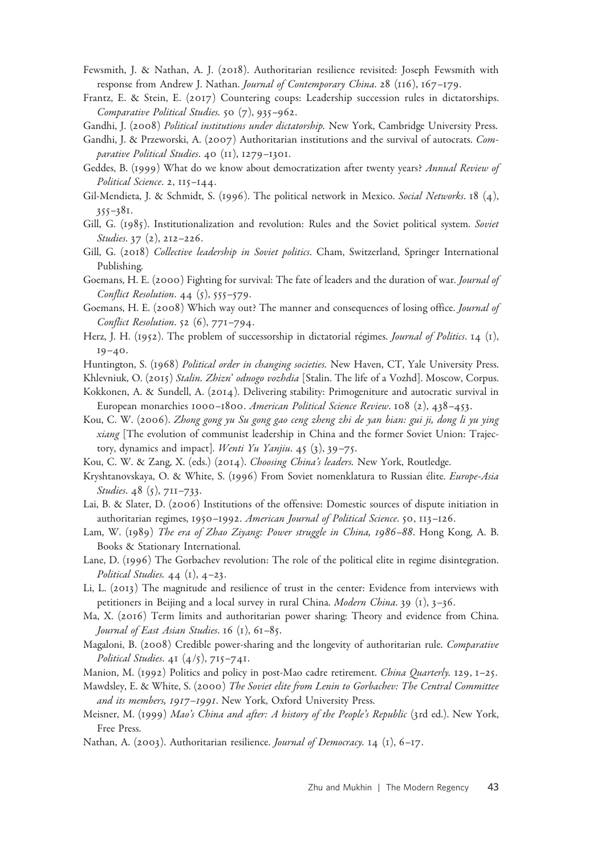- Fewsmith, J. & Nathan, A. J. (2018). Authoritarian resilience revisited: Joseph Fewsmith with response from Andrew J. Nathan. Journal of Contemporary China. 28 (116), 167-179.
- Frantz, E. & Stein, E. (2017) Countering coups: Leadership succession rules in dictatorships. Comparative Political Studies. 50 (7), 935–962.
- Gandhi, J. (2008) Political institutions under dictatorship. New York, Cambridge University Press.
- Gandhi, J. & Przeworski, A. (2007) Authoritarian institutions and the survival of autocrats. Comparative Political Studies. 40 (11), 1279–1301.
- Geddes, B. (1999) What do we know about democratization after twenty years? Annual Review of Political Science. 2, 115–144.
- Gil-Mendieta, J. & Schmidt, S. (1996). The political network in Mexico. Social Networks. 18 (4), 355–381.
- Gill, G. (1985). Institutionalization and revolution: Rules and the Soviet political system. Soviet Studies. 37 (2), 212–226.
- Gill, G. (2018) Collective leadership in Soviet politics. Cham, Switzerland, Springer International Publishing.
- Goemans, H. E. (2000) Fighting for survival: The fate of leaders and the duration of war. *Journal of* Conflict Resolution. 44 (5), 555–579.
- Goemans, H. E. (2008) Which way out? The manner and consequences of losing office. Journal of Conflict Resolution. 52 (6), 771–794.
- Herz, J. H. (1952). The problem of successorship in dictatorial régimes. Journal of Politics. 14 (1), 19–40.
- Huntington, S. (1968) Political order in changing societies. New Haven, CT, Yale University Press.
- Khlevniuk, O. (2015) Stalin. Zhizn' odnogo vozhdia [Stalin. The life of a Vozhd]. Moscow, Corpus. Kokkonen, A. & Sundell, A. (2014). Delivering stability: Primogeniture and autocratic survival in
- European monarchies 1000–1800. American Political Science Review. 108 (2), 438–453.
- Kou, C. W. (2006). Zhong gong yu Su gong gao ceng zheng zhi de yan bian: gui ji, dong li yu ying xiang [The evolution of communist leadership in China and the former Soviet Union: Trajectory, dynamics and impact]. Wenti Yu Yanjiu. 45 (3), 39-75.
- Kou, C. W. & Zang, X. (eds.) (2014). Choosing China's leaders. New York, Routledge.
- Kryshtanovskaya, O. & White, S. (1996) From Soviet nomenklatura to Russian élite. Europe-Asia Studies. 48 (5), 711–733.
- Lai, B. & Slater, D. (2006) Institutions of the offensive: Domestic sources of dispute initiation in authoritarian regimes, 1950–1992. American Journal of Political Science. 50, 113–126.
- Lam, W. (1989) The era of Zhao Ziyang: Power struggle in China, 1986–88. Hong Kong, A. B. Books & Stationary International.
- Lane, D. (1996) The Gorbachev revolution: The role of the political elite in regime disintegration. Political Studies.  $44$  (1),  $4-23$ .
- Li, L. (2013) The magnitude and resilience of trust in the center: Evidence from interviews with petitioners in Beijing and a local survey in rural China. Modern China. 39 (1), 3–36.
- Ma, X. (2016) Term limits and authoritarian power sharing: Theory and evidence from China. Journal of East Asian Studies. 16 (1), 61-85.
- Magaloni, B. (2008) Credible power-sharing and the longevity of authoritarian rule. Comparative Political Studies.  $41 (4/5)$ ,  $715-741$ .
- Manion, M. (1992) Politics and policy in post-Mao cadre retirement. China Quarterly. 129, 1–25.
- Mawdsley, E. & White, S. (2000) The Soviet elite from Lenin to Gorbachev: The Central Committee and its members, 1917-1991. New York, Oxford University Press.
- Meisner, M. (1999) Mao's China and after: A history of the People's Republic (3rd ed.). New York, Free Press.
- Nathan, A. (2003). Authoritarian resilience. Journal of Democracy. 14 (1), 6-17.